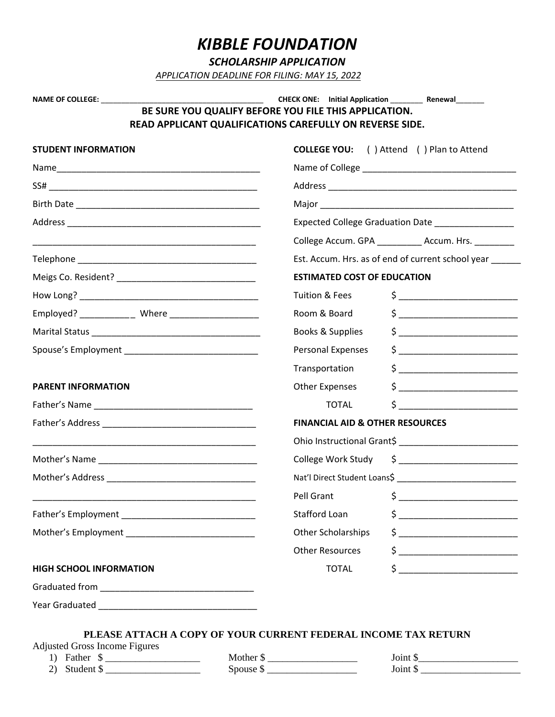# *KIBBLE FOUNDATION*

*SCHOLARSHIP APPLICATION*

*APPLICATION DEADLINE FOR FILING: MAY 15, 2022*

| BE SURE YOU QUALIFY BEFORE YOU FILE THIS APPLICATION.<br>READ APPLICANT QUALIFICATIONS CAREFULLY ON REVERSE SIDE.<br><b>STUDENT INFORMATION</b> | <b>ESTIMATED COST OF EDUCATION</b><br>Tuition & Fees | <b>COLLEGE YOU:</b> ( ) Attend ( ) Plan to Attend<br>Expected College Graduation Date __________________<br>College Accum. GPA ___________ Accum. Hrs. _________<br>Est. Accum. Hrs. as of end of current school year ______                                                                                                                                        |  |  |
|-------------------------------------------------------------------------------------------------------------------------------------------------|------------------------------------------------------|---------------------------------------------------------------------------------------------------------------------------------------------------------------------------------------------------------------------------------------------------------------------------------------------------------------------------------------------------------------------|--|--|
|                                                                                                                                                 |                                                      |                                                                                                                                                                                                                                                                                                                                                                     |  |  |
|                                                                                                                                                 |                                                      |                                                                                                                                                                                                                                                                                                                                                                     |  |  |
|                                                                                                                                                 |                                                      |                                                                                                                                                                                                                                                                                                                                                                     |  |  |
|                                                                                                                                                 |                                                      |                                                                                                                                                                                                                                                                                                                                                                     |  |  |
|                                                                                                                                                 |                                                      |                                                                                                                                                                                                                                                                                                                                                                     |  |  |
|                                                                                                                                                 |                                                      |                                                                                                                                                                                                                                                                                                                                                                     |  |  |
|                                                                                                                                                 |                                                      |                                                                                                                                                                                                                                                                                                                                                                     |  |  |
|                                                                                                                                                 |                                                      |                                                                                                                                                                                                                                                                                                                                                                     |  |  |
|                                                                                                                                                 |                                                      |                                                                                                                                                                                                                                                                                                                                                                     |  |  |
|                                                                                                                                                 |                                                      | $\begin{picture}(20,10) \put(0,0){\vector(1,0){100}} \put(15,0){\vector(1,0){100}} \put(15,0){\vector(1,0){100}} \put(15,0){\vector(1,0){100}} \put(15,0){\vector(1,0){100}} \put(15,0){\vector(1,0){100}} \put(15,0){\vector(1,0){100}} \put(15,0){\vector(1,0){100}} \put(15,0){\vector(1,0){100}} \put(15,0){\vector(1,0){100}} \put(15,0){\vector(1,0){100}} \$ |  |  |
| Employed? ____________ Where ______________________                                                                                             | Room & Board                                         | $\frac{1}{2}$                                                                                                                                                                                                                                                                                                                                                       |  |  |
|                                                                                                                                                 | Books & Supplies                                     | $\frac{1}{2}$ $\frac{1}{2}$ $\frac{1}{2}$ $\frac{1}{2}$ $\frac{1}{2}$ $\frac{1}{2}$ $\frac{1}{2}$ $\frac{1}{2}$ $\frac{1}{2}$ $\frac{1}{2}$ $\frac{1}{2}$ $\frac{1}{2}$ $\frac{1}{2}$ $\frac{1}{2}$ $\frac{1}{2}$ $\frac{1}{2}$ $\frac{1}{2}$ $\frac{1}{2}$ $\frac{1}{2}$ $\frac{1}{2}$ $\frac{1}{2}$ $\frac{1}{2}$                                                 |  |  |
|                                                                                                                                                 | Personal Expenses                                    | $\begin{array}{c} \xi \end{array}$                                                                                                                                                                                                                                                                                                                                  |  |  |
|                                                                                                                                                 | Transportation                                       |                                                                                                                                                                                                                                                                                                                                                                     |  |  |
| <b>PARENT INFORMATION</b>                                                                                                                       | Other Expenses                                       | $\frac{1}{2}$                                                                                                                                                                                                                                                                                                                                                       |  |  |
|                                                                                                                                                 | <b>TOTAL</b>                                         | $\mathsf{s}$ _____________                                                                                                                                                                                                                                                                                                                                          |  |  |
|                                                                                                                                                 | <b>FINANCIAL AID &amp; OTHER RESOURCES</b>           |                                                                                                                                                                                                                                                                                                                                                                     |  |  |
|                                                                                                                                                 |                                                      |                                                                                                                                                                                                                                                                                                                                                                     |  |  |
|                                                                                                                                                 | College Work Study                                   | $\begin{picture}(20,10) \put(0,0){\vector(1,0){100}} \put(15,0){\vector(1,0){100}} \put(15,0){\vector(1,0){100}} \put(15,0){\vector(1,0){100}} \put(15,0){\vector(1,0){100}} \put(15,0){\vector(1,0){100}} \put(15,0){\vector(1,0){100}} \put(15,0){\vector(1,0){100}} \put(15,0){\vector(1,0){100}} \put(15,0){\vector(1,0){100}} \put(15,0){\vector(1,0){100}} \$ |  |  |
|                                                                                                                                                 |                                                      |                                                                                                                                                                                                                                                                                                                                                                     |  |  |
|                                                                                                                                                 | Pell Grant S                                         |                                                                                                                                                                                                                                                                                                                                                                     |  |  |
|                                                                                                                                                 | <b>Stafford Loan</b>                                 | $\frac{1}{2}$                                                                                                                                                                                                                                                                                                                                                       |  |  |
|                                                                                                                                                 | Other Scholarships                                   |                                                                                                                                                                                                                                                                                                                                                                     |  |  |
|                                                                                                                                                 | <b>Other Resources</b>                               | $\frac{1}{2}$ $\frac{1}{2}$ $\frac{1}{2}$ $\frac{1}{2}$ $\frac{1}{2}$ $\frac{1}{2}$ $\frac{1}{2}$ $\frac{1}{2}$ $\frac{1}{2}$ $\frac{1}{2}$ $\frac{1}{2}$ $\frac{1}{2}$ $\frac{1}{2}$ $\frac{1}{2}$ $\frac{1}{2}$ $\frac{1}{2}$ $\frac{1}{2}$ $\frac{1}{2}$ $\frac{1}{2}$ $\frac{1}{2}$ $\frac{1}{2}$ $\frac{1}{2}$                                                 |  |  |
| <b>HIGH SCHOOL INFORMATION</b>                                                                                                                  | <b>TOTAL</b>                                         |                                                                                                                                                                                                                                                                                                                                                                     |  |  |
|                                                                                                                                                 |                                                      |                                                                                                                                                                                                                                                                                                                                                                     |  |  |
|                                                                                                                                                 |                                                      |                                                                                                                                                                                                                                                                                                                                                                     |  |  |

### **PLEASE ATTACH A COPY OF YOUR CURRENT FEDERAL INCOME TAX RETURN**

Adjusted Gross Income Figures<br>1) Father \$

| 1 J | - Taulu              |  |
|-----|----------------------|--|
|     | $\chi$ tudent $\chi$ |  |

1) Father \$ \_\_\_\_\_\_\_\_\_\_\_\_\_\_\_\_\_\_\_ Mother \$ \_\_\_\_\_\_\_\_\_\_\_\_\_\_\_\_\_\_ Joint \$\_\_\_\_\_\_\_\_\_\_\_\_\_\_\_\_\_\_\_\_ 2) Student  $\frac{1}{2}$  Spouse  $\frac{1}{2}$  Spouse  $\frac{1}{2}$ 

| Joint \$ |  |
|----------|--|
| Joint \$ |  |